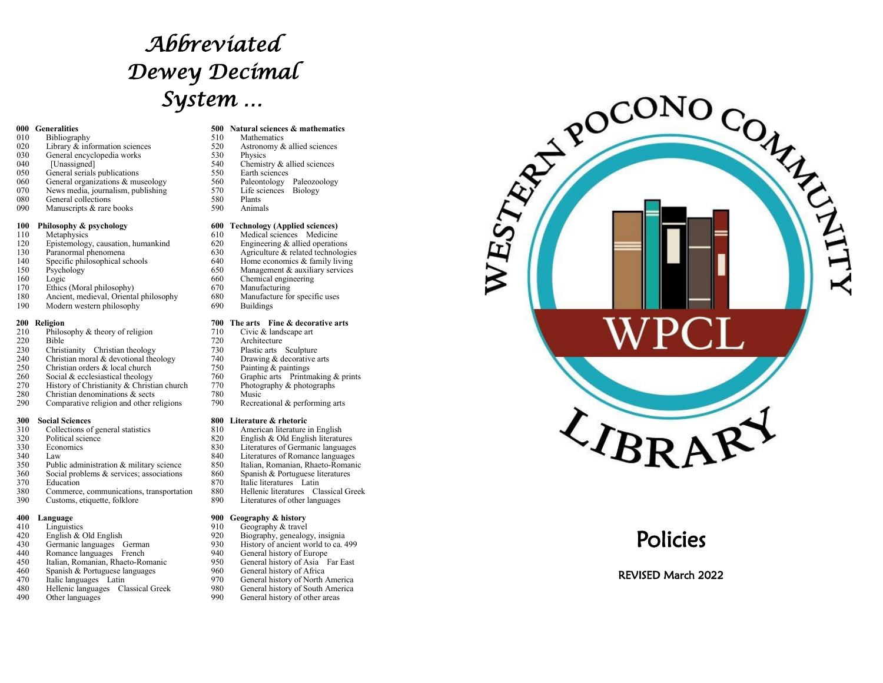# *Abbreviated Dewey Decimal System …*

- 010 Bibliography 510 Mathematics<br>020 Library & information sciences 520 Astronomy & allied sciences
- 020 Library & information sciences 520 Astronomy 620 Astronomy 630 General encyclopedia works 530 Physics General encyclopedia works 530<br>
[Unassigned] 540<br>
540
- 
- 040 [Unassigned] 540 Chemistry & allied sciences<br>050 General serials publications 550 Earth sciences
- 050 General serials publications<br>060 General organizations & museology 560 Paleontology Paleozoology
- 060 General organizations & museology 560 Paleontology Paleozoo<br>070 News media. iournalism. publishing 570 Life sciences Biology
- 070 News media, journalism, publishing 570 Life sc<br>080 General collections 580 Plants
- General collections 580<br>Manuscripts & rare books 590 090 Manuscripts & rare books 590 Animals

- 
- 120 Epistemology, causation, humankind 620<br>130 Paranormal phenomena 630
- 
- 
- 
- 
- 170 Ethics (Moral philosophy) 670 Manufacturing<br>180 Ancient, medieval, Oriental philosophy 680 Manufacture for specific uses
- 180 Ancient, medieval, Oriental philosophy 680 Manufacture for specific uses of the media of the specific uses of the media of the media of the media of the media of the media of the media of the media of the media of the Modern western philosophy

- 210 Philosophy & theory of religion 710<br>220 Bible 720
- 
- 220 Bible 720 Architecture 230 Christianity Christian theology 730 Plastic arts Sculpture 230 Christianity Christian theology 730 Plastic arts Sculpture<br>240 Christian moral & devotional theology 740 Drawing & decorative arts
- 240 Christian moral & devotional theology 740 Drawing & decorative 250 Christian orders & local church 750 Painting & paintings
- Christian orders  $&$  local church Social  $&$  ecclesiastical theology
- 
- 270 History of Christianity & Christian church 770 Photography Christian denominations & sects 780 Music
- 280 Christian denominations & sects 780 Music<br>
290 Comparative religion and other religions 790 Recreational & performing arts
- Comparative religion and other religions

- **300 Social Sciences 800 Literature & rhetoric** 310 Collections of general statistics 810<br>320 Political science 820
- 
- 
- 
- 350 Public administration & military science 850 Italian, Romanian, Rhaeto-Roma<br>360 Social problems & services; associations 860 Spanish & Portuguese literatures
- 360 Social problems & services; associations 860<br>370 Education 870 870
- 370 Education 870 Italic literatures Latin<br>380 Commerce. communications. transportation 880 Hellenic literatures Classical Greek
- 380 Commerce, communications, transportation 880 Hellenic literatures Classical<br>390 Customs, etiquette, folklore 890 Literatures of other languages Customs, etiquette, folklore

- 
- 
- 
- 440 Romance languages French 940 940<br>450 Italian, Romanian, Rhaeto-Romanic 950
- 450 Italian, Romanian, Rhaeto-Romanic<br>460 Spanish & Portuguese languages
- 460 Spanish & Portuguese languages 960 960<br>470 Italic languages Latin 970
- 
- 480 Hellenic languages Classical Greek 980 General history of South Americal Other languages 990 General history of other areas
- 

### **000 Generalities 500 Natural sciences & mathematics**<br> **610** Bibliography **510** Mathematics

- 
- 
- 
- 
- 
- 
- 
- 
- 
- **100 Philosophy & psychology**<br>
110 Metaphysics<br> **600 Technology (Applied sciences)**<br> **610** Medical sciences Medicine
	-
- 110 Metaphysics 610 Medical sciences Medicine<br>120 Epistemology causation humankind 620 Engineering & allied operations
- 130 Paranormal phenomena 630 Agriculture & related technologies<br>
140 Specific philosophical schools 640 Home economics & family living
- 140 Specific philosophical schools 640 Home economics & family living<br>150 Psychology 650 Management & auxiliary services
- 150 Psychology 150 Management & auxiliary services<br>160 Logic 160 Chemical engineering
- 160 Logic 660 Chemical engineering<br>170 Ethics (Moral philosophy) 670 Manufacturing
	-
	- -

### **200 Religion 200 The arts Fine & decorative arts**  $210$  Philosophy & theory of religion **710** Civic & landscape art

- 
- 
- 
- 
- 
- 260 Social & ecclesiastical theology 760 Graphic arts Printmaking & prints 270 History of Christianity & Christian church 770 Photography & photographs
	-
	-
	-

- 
- 320 Political science<br>330 Economics 820 English & Old English literatures<br>830 Economics 830 English & Old English literatures<br>830 Economics
- 330 Economics 830 Literatures of Germanic languages
- 340 Law 2001 Law 2010 840 Literatures of Romance languages<br>350 Public administration & military science 2850 Italian Romanian Rhaeto-Romani
	- Italian, Romanian, Rhaeto-Romanic
	-
	- -
		-

### **400 Language 900 Geography & history**

- 410 Linguistics 1910 Geography & travel<br>420 English & Old English 1920 Biography, genealog
	-
- 420 English & Old English 920 Biography, genealogy, insignia<br>430 Germanic languages German 930 History of ancient world to ca. 430 Germanic languages German 930 History of ancient world to ca. 499<br>440 Romance languages French 940 General history of Europe
	-
	- 950 General history of Asia Far East<br>960 General history of Africa
	-
- 470 Italic languages Latin 970 General history of North America<br>480 Hellenic languages Classical Greek 980 General history of South America
	-
	-



# Policies

REVISED March 2022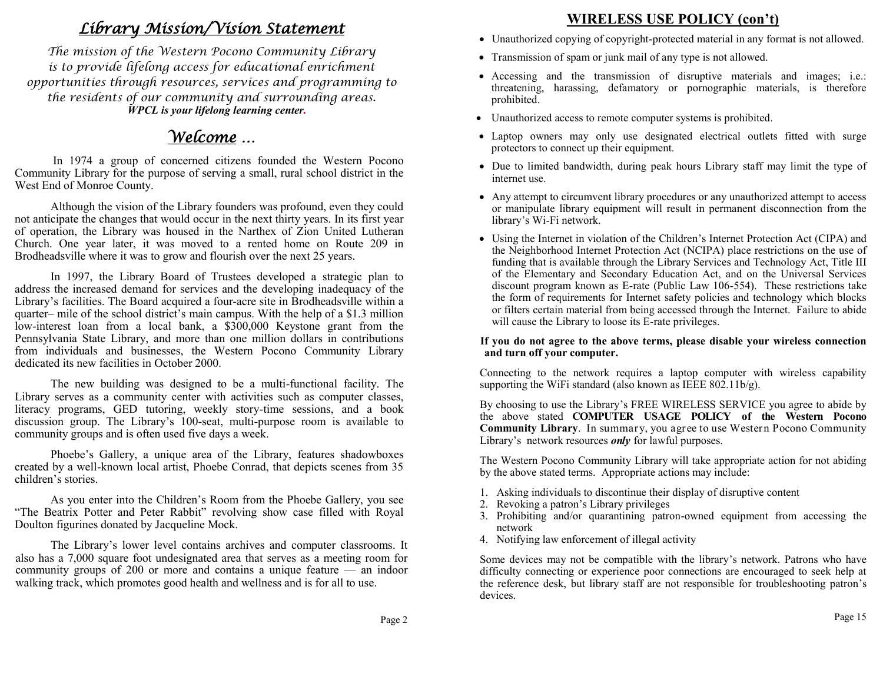# *Library Mission/Vision Statement*

*The mission of the Western Pocono Community Library is to provide lifelong access for educational enrichment opportunities through resources, services and programming to the residents of our community and surrounding areas. WPCL is your lifelong learning center.* 

# *Welcome …*

 In 1974 a group of concerned citizens founded the Western Pocono Community Library for the purpose of serving a small, rural school district in the West End of Monroe County.

Although the vision of the Library founders was profound, even they could not anticipate the changes that would occur in the next thirty years. In its first year of operation, the Library was housed in the Narthex of Zion United Lutheran Church. One year later, it was moved to a rented home on Route 209 in Brodheadsville where it was to grow and flourish over the next 25 years.

In 1997, the Library Board of Trustees developed a strategic plan to address the increased demand for services and the developing inadequacy of the Library's facilities. The Board acquired a four-acre site in Brodheadsville within a quarter– mile of the school district's main campus. With the help of a \$1.3 million low-interest loan from a local bank, a \$300,000 Keystone grant from the Pennsylvania State Library, and more than one million dollars in contributions from individuals and businesses, the Western Pocono Community Library dedicated its new facilities in October 2000.

The new building was designed to be a multi-functional facility. The Library serves as a community center with activities such as computer classes, literacy programs, GED tutoring, weekly story-time sessions, and a book discussion group. The Library's 100-seat, multi-purpose room is available to community groups and is often used five days a week.

Phoebe's Gallery, a unique area of the Library, features shadowboxes created by a well-known local artist, Phoebe Conrad, that depicts scenes from 35 children's stories.

As you enter into the Children's Room from the Phoebe Gallery, you see "The Beatrix Potter and Peter Rabbit" revolving show case filled with Royal Doulton figurines donated by Jacqueline Mock.

 The Library's lower level contains archives and computer classrooms. It also has a 7,000 square foot undesignated area that serves as a meeting room for community groups of 200 or more and contains a unique feature — an indoor walking track, which promotes good health and wellness and is for all to use.

### **WIRELESS USE POLICY (con't)**

- Unauthorized copying of copyright-protected material in any format is not allowed.
- Transmission of spam or junk mail of any type is not allowed.
- Accessing and the transmission of disruptive materials and images; i.e.: threatening, harassing, defamatory or pornographic materials, is therefore prohibited.
- Unauthorized access to remote computer systems is prohibited.
- Laptop owners may only use designated electrical outlets fitted with surge protectors to connect up their equipment.
- Due to limited bandwidth, during peak hours Library staff may limit the type of internet use.
- Any attempt to circumvent library procedures or any unauthorized attempt to access or manipulate library equipment will result in permanent disconnection from the library's Wi-Fi network.
- Using the Internet in violation of the Children's Internet Protection Act (CIPA) and the Neighborhood Internet Protection Act (NCIPA) place restrictions on the use of funding that is available through the Library Services and Technology Act, Title III of the Elementary and Secondary Education Act, and on the Universal Services discount program known as E-rate (Public Law 106-554). These restrictions take the form of requirements for Internet safety policies and technology which blocks or filters certain material from being accessed through the Internet. Failure to abide will cause the Library to loose its E-rate privileges.

#### **If you do not agree to the above terms, please disable your wireless connection and turn off your computer.**

Connecting to the network requires a laptop computer with wireless capability supporting the WiFi standard (also known as IEEE 802.11b/g).

By choosing to use the Library's FREE WIRELESS SERVICE you agree to abide by the above stated **COMPUTER USAGE POLICY of the Western Pocono Community Library**. In summary, you agree to use Western Pocono Community Library's network resources *only* for lawful purposes.

The Western Pocono Community Library will take appropriate action for not abiding by the above stated terms. Appropriate actions may include:

- 1. Asking individuals to discontinue their display of disruptive content
- 2. Revoking a patron's Library privileges
- 3. Prohibiting and/or quarantining patron-owned equipment from accessing the network
- 4. Notifying law enforcement of illegal activity

Some devices may not be compatible with the library's network. Patrons who have difficulty connecting or experience poor connections are encouraged to seek help at the reference desk, but library staff are not responsible for troubleshooting patron's devices.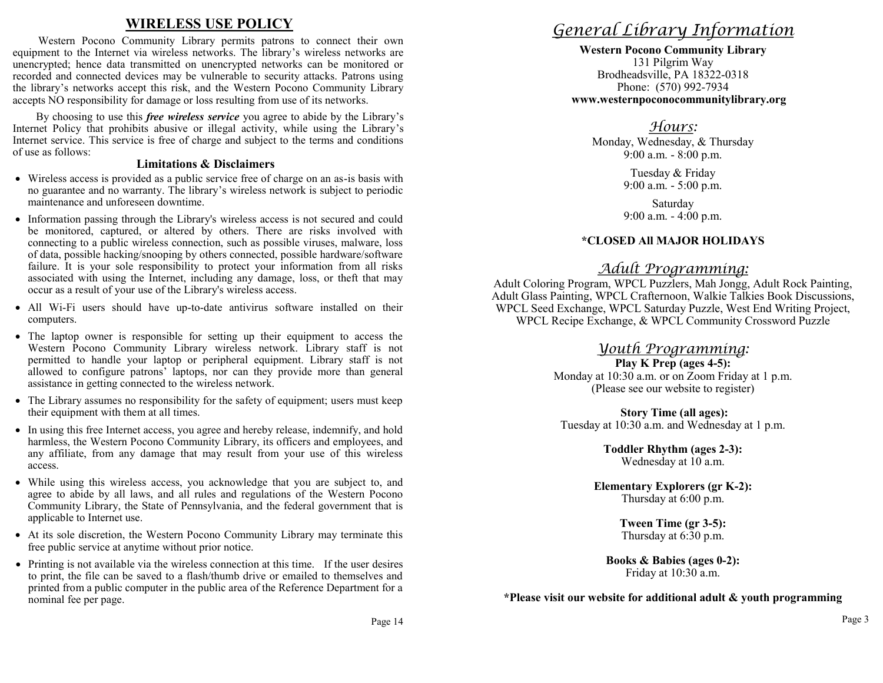### **WIRELESS USE POLICY**

Western Pocono Community Library permits patrons to connect their own equipment to the Internet via wireless networks. The library's wireless networks are unencrypted; hence data transmitted on unencrypted networks can be monitored or recorded and connected devices may be vulnerable to security attacks. Patrons using the library's networks accept this risk, and the Western Pocono Community Library accepts NO responsibility for damage or loss resulting from use of its networks.

 By choosing to use this *free wireless service* you agree to abide by the Library's Internet Policy that prohibits abusive or illegal activity, while using the Library's Internet service. This service is free of charge and subject to the terms and conditions of use as follows:

#### **Limitations & Disclaimers**

- Wireless access is provided as a public service free of charge on an as-is basis with no guarantee and no warranty. The library's wireless network is subject to periodic maintenance and unforeseen downtime.
- Information passing through the Library's wireless access is not secured and could be monitored, captured, or altered by others. There are risks involved with connecting to a public wireless connection, such as possible viruses, malware, loss of data, possible hacking/snooping by others connected, possible hardware/software failure. It is your sole responsibility to protect your information from all risks associated with using the Internet, including any damage, loss, or theft that may occur as a result of your use of the Library's wireless access.
- All Wi-Fi users should have up-to-date antivirus software installed on their computers.
- The laptop owner is responsible for setting up their equipment to access the Western Pocono Community Library wireless network. Library staff is not permitted to handle your laptop or peripheral equipment. Library staff is not allowed to configure patrons' laptops, nor can they provide more than general assistance in getting connected to the wireless network.
- The Library assumes no responsibility for the safety of equipment; users must keep their equipment with them at all times.
- In using this free Internet access, you agree and hereby release, indemnify, and hold harmless, the Western Pocono Community Library, its officers and employees, and any affiliate, from any damage that may result from your use of this wireless access.
- While using this wireless access, you acknowledge that you are subject to, and agree to abide by all laws, and all rules and regulations of the Western Pocono Community Library, the State of Pennsylvania, and the federal government that is applicable to Internet use.
- At its sole discretion, the Western Pocono Community Library may terminate this free public service at anytime without prior notice.
- Printing is not available via the wireless connection at this time. If the user desires to print, the file can be saved to a flash/thumb drive or emailed to themselves and printed from a public computer in the public area of the Reference Department for a nominal fee per page.

# *General Library Information*

**Western Pocono Community Library** 131 Pilgrim Way Brodheadsville, PA 18322-0318 Phone: (570) 992-7934  **www.westernpoconocommunitylibrary.org**

### *Hours:*

Monday, Wednesday, & Thursday 9:00 a.m. - 8:00 p.m.

> Tuesday & Friday 9:00 a.m. - 5:00 p.m.

Saturday 9:00 a.m. - 4:00 p.m.

### **\*CLOSED All MAJOR HOLIDAYS**

### *Adult Programming:*

Adult Coloring Program, WPCL Puzzlers, Mah Jongg, Adult Rock Painting, Adult Glass Painting, WPCL Crafternoon, Walkie Talkies Book Discussions, WPCL Seed Exchange, WPCL Saturday Puzzle, West End Writing Project, WPCL Recipe Exchange, & WPCL Community Crossword Puzzle

### *Youth Programming:*

**Play K Prep (ages 4-5):** Monday at 10:30 a.m. or on Zoom Friday at 1 p.m. (Please see our website to register)

**Story Time (all ages):** Tuesday at 10:30 a.m. and Wednesday at 1 p.m.

> **Toddler Rhythm (ages 2-3):** Wednesday at 10 a.m.

**Elementary Explorers (gr K-2):** Thursday at 6:00 p.m.

> **Tween Time (gr 3-5):** Thursday at 6:30 p.m.

**Books & Babies (ages 0-2):** Friday at 10:30 a.m.

**\*Please visit our website for additional adult & youth programming**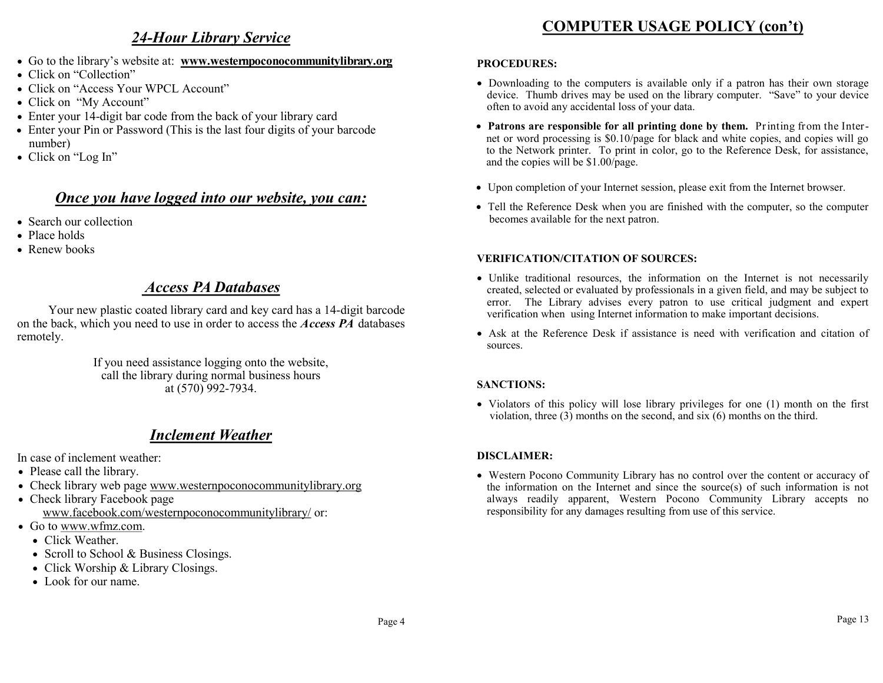### *24-Hour Library Service*

- Go to the library's website at: **www.westernpoconocommunitylibrary.org**
- Click on "Collection"
- Click on "Access Your WPCL Account"
- Click on "My Account"
- Enter your 14-digit bar code from the back of your library card
- Enter your Pin or Password (This is the last four digits of your barcode number)
- Click on "Log In"

### *Once you have logged into our website, you can:*

- Search our collection
- Place holds
- Renew books

### *Access PA Databases*

Your new plastic coated library card and key card has a 14-digit barcode on the back, which you need to use in order to access the *Access PA* databases remotely.

> If you need assistance logging onto the website, call the library during normal business hours at (570) 992-7934.

### *Inclement Weather*

In case of inclement weather:

- Please call the library.
- Check library web page www.westernpoconocommunitylibrary.org
- Check library Facebook page www.facebook.com/westernpoconocommunitylibrary/ or:
- Go to www.wfmz.com.
	- Click Weather.
	- Scroll to School & Business Closings.
	- Click Worship & Library Closings.
	- Look for our name.

# **COMPUTER USAGE POLICY (con't)**

#### **PROCEDURES:**

- Downloading to the computers is available only if a patron has their own storage device. Thumb drives may be used on the library computer. "Save" to your device often to avoid any accidental loss of your data.
- **Patrons are responsible for all printing done by them.** Printing from the Internet or word processing is \$0.10/page for black and white copies, and copies will go to the Network printer. To print in color, go to the Reference Desk, for assistance, and the copies will be \$1.00/page.
- Upon completion of your Internet session, please exit from the Internet browser.
- Tell the Reference Desk when you are finished with the computer, so the computer becomes available for the next patron.

#### **VERIFICATION/CITATION OF SOURCES:**

- Unlike traditional resources, the information on the Internet is not necessarily created, selected or evaluated by professionals in a given field, and may be subject to error. The Library advises every patron to use critical judgment and expert verification when using Internet information to make important decisions.
- Ask at the Reference Desk if assistance is need with verification and citation of sources.

#### **SANCTIONS:**

• Violators of this policy will lose library privileges for one (1) month on the first violation, three (3) months on the second, and six (6) months on the third.

#### **DISCLAIMER:**

 Western Pocono Community Library has no control over the content or accuracy of the information on the Internet and since the source(s) of such information is not always readily apparent, Western Pocono Community Library accepts no responsibility for any damages resulting from use of this service.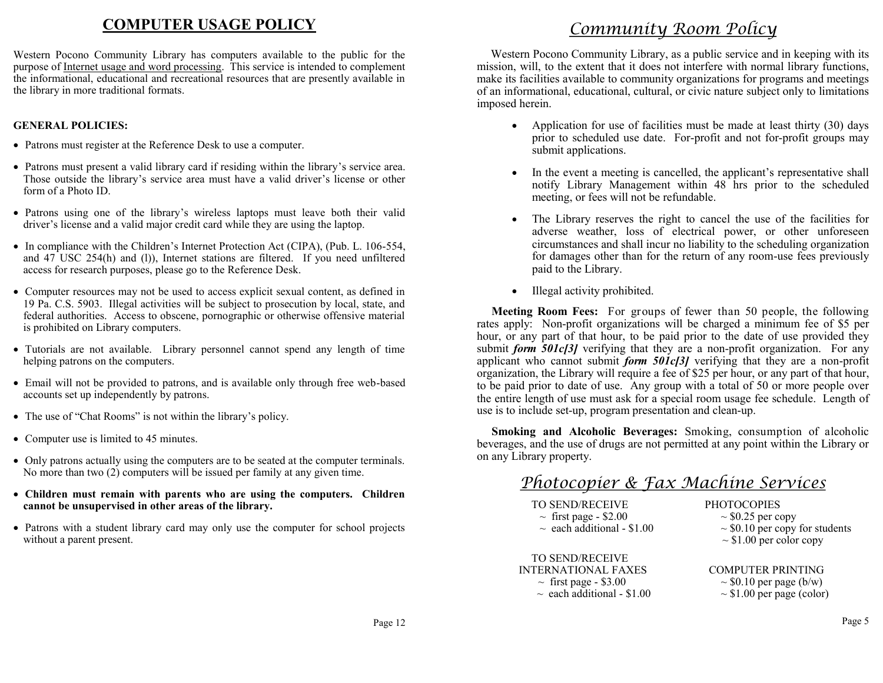## **COMPUTER USAGE POLICY**

Western Pocono Community Library has computers available to the public for the purpose of Internet usage and word processing. This service is intended to complement the informational, educational and recreational resources that are presently available in the library in more traditional formats.

#### **GENERAL POLICIES:**

- Patrons must register at the Reference Desk to use a computer.
- Patrons must present a valid library card if residing within the library's service area. Those outside the library's service area must have a valid driver's license or other form of a Photo ID.
- Patrons using one of the library's wireless laptops must leave both their valid driver's license and a valid major credit card while they are using the laptop.
- In compliance with the Children's Internet Protection Act (CIPA), (Pub. L. 106-554, and 47 USC 254(h) and (l)), Internet stations are filtered. If you need unfiltered access for research purposes, please go to the Reference Desk.
- Computer resources may not be used to access explicit sexual content, as defined in 19 Pa. C.S. 5903. Illegal activities will be subject to prosecution by local, state, and federal authorities. Access to obscene, pornographic or otherwise offensive material is prohibited on Library computers.
- Tutorials are not available. Library personnel cannot spend any length of time helping patrons on the computers.
- Email will not be provided to patrons, and is available only through free web-based accounts set up independently by patrons.
- The use of "Chat Rooms" is not within the library's policy.
- Computer use is limited to 45 minutes.
- Only patrons actually using the computers are to be seated at the computer terminals. No more than two (2) computers will be issued per family at any given time.
- **Children must remain with parents who are using the computers. Children cannot be unsupervised in other areas of the library.**
- Patrons with a student library card may only use the computer for school projects without a parent present.

# *Community Room Policy*

 Western Pocono Community Library, as a public service and in keeping with its mission, will, to the extent that it does not interfere with normal library functions, make its facilities available to community organizations for programs and meetings of an informational, educational, cultural, or civic nature subject only to limitations imposed herein.

- Application for use of facilities must be made at least thirty (30) days prior to scheduled use date. For-profit and not for-profit groups may submit applications.
- In the event a meeting is cancelled, the applicant's representative shall notify Library Management within 48 hrs prior to the scheduled meeting, or fees will not be refundable.
- The Library reserves the right to cancel the use of the facilities for adverse weather, loss of electrical power, or other unforeseen circumstances and shall incur no liability to the scheduling organization for damages other than for the return of any room-use fees previously paid to the Library.
- Illegal activity prohibited.

 **Meeting Room Fees:** For groups of fewer than 50 people, the following rates apply: Non-profit organizations will be charged a minimum fee of \$5 per hour, or any part of that hour, to be paid prior to the date of use provided they submit *form 501c[3]* verifying that they are a non-profit organization. For any applicant who cannot submit *form 501c[3]* verifying that they are a non-profit organization, the Library will require a fee of \$25 per hour, or any part of that hour, to be paid prior to date of use. Any group with a total of 50 or more people over the entire length of use must ask for a special room usage fee schedule. Length of use is to include set-up, program presentation and clean-up.

 **Smoking and Alcoholic Beverages:** Smoking, consumption of alcoholic beverages, and the use of drugs are not permitted at any point within the Library or on any Library property.

### *Photocopier & Fax Machine Services*

| <b>TO SEND/RECEIVE</b>          | <b>PHOTOCOPIES</b>                  |
|---------------------------------|-------------------------------------|
| $\sim$ first page - \$2.00      | $\sim$ \$0.25 per copy              |
| $\sim$ each additional - \$1.00 | $\sim$ \$0.10 per copy for students |
|                                 | $\sim$ \$1.00 per color copy        |
| <b>TO SEND/RECEIVE</b>          |                                     |
| <b>INTERNATIONAL FAXES</b>      | <b>COMPUTER PRINTING</b>            |
| $\sim$ first page - \$3.00      | $\sim$ \$0.10 per page (b/w)        |
| $\sim$ each additional - \$1.00 | $\sim$ \$1.00 per page (color)      |
|                                 |                                     |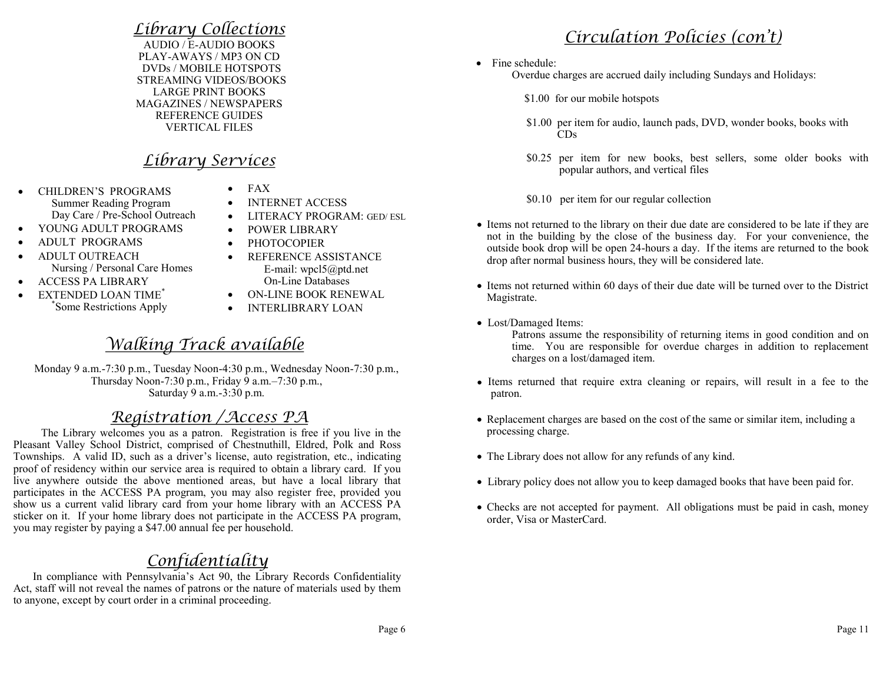## *Library Collections*

AUDIO / E-AUDIO BOOKS PLAY-AWAYS / MP3 ON CD DVDs / MOBILE HOTSPOTS STREAMING VIDEOS/BOOKS LARGE PRINT BOOKS MAGAZINES / NEWSPAPERS REFERENCE GUIDES VERTICAL FILES

## *Library Services*

• CHILDREN'S PROGRAMS Summer Reading Program Day Care / Pre-School Outreach

Nursing / Personal Care Homes

\* Some Restrictions Apply

 ADULT PROGRAMS ADULT OUTREACH

 ACCESS PA LIBRARY • EXTENDED LOAN TIME<sup>\*</sup>

- FAX
- INTERNET ACCESS
- LITERACY PROGRAM: GED/ ESL
- POWER LIBRARY YOUNG ADULT PROGRAMS
	- PHOTOCOPIER
		- REFERENCE ASSISTANCE E-mail: wpcl5@ptd.net On-Line Databases
		- ON-LINE BOOK RENEWAL
		- **INTERLIBRARY LOAN**

# *Walking Track available*

 Monday 9 a.m.-7:30 p.m., Tuesday Noon-4:30 p.m., Wednesday Noon-7:30 p.m., Thursday Noon-7:30 p.m., Friday 9 a.m.–7:30 p.m., Saturday 9 a.m.-3:30 p.m.

## *Registration /Access PA*

 The Library welcomes you as a patron. Registration is free if you live in the Pleasant Valley School District, comprised of Chestnuthill, Eldred, Polk and Ross Townships. A valid ID, such as a driver's license, auto registration, etc., indicating proof of residency within our service area is required to obtain a library card. If you live anywhere outside the above mentioned areas, but have a local library that participates in the ACCESS PA program, you may also register free, provided you show us a current valid library card from your home library with an ACCESS PA sticker on it. If your home library does not participate in the ACCESS PA program, you may register by paying a \$47.00 annual fee per household.

# *Confidentiality*

 In compliance with Pennsylvania's Act 90, the Library Records Confidentiality Act, staff will not reveal the names of patrons or the nature of materials used by them to anyone, except by court order in a criminal proceeding.

# *Circulation Policies (con't)*

• Fine schedule:

Overdue charges are accrued daily including Sundays and Holidays:

- \$1.00 for our mobile hotspots
- \$1.00 per item for audio, launch pads, DVD, wonder books, books with CDs
- \$0.25 per item for new books, best sellers, some older books with popular authors, and vertical files

\$0.10 per item for our regular collection

- Items not returned to the library on their due date are considered to be late if they are not in the building by the close of the business day. For your convenience, the outside book drop will be open 24-hours a day. If the items are returned to the book drop after normal business hours, they will be considered late.
- Items not returned within 60 days of their due date will be turned over to the District Magistrate.
- Lost/Damaged Items:

Patrons assume the responsibility of returning items in good condition and on time. You are responsible for overdue charges in addition to replacement charges on a lost/damaged item.

- Items returned that require extra cleaning or repairs, will result in a fee to the patron.
- Replacement charges are based on the cost of the same or similar item, including a processing charge.
- The Library does not allow for any refunds of any kind.
- Library policy does not allow you to keep damaged books that have been paid for.
- Checks are not accepted for payment. All obligations must be paid in cash, money order, Visa or MasterCard.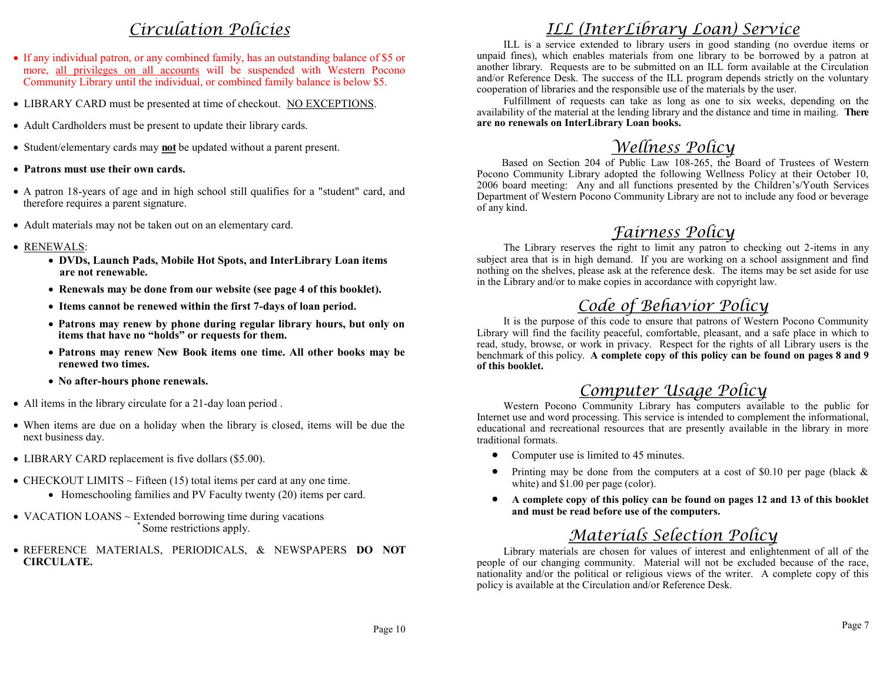# *Circulation Policies*

- If any individual patron, or any combined family, has an outstanding balance of \$5 or more, all privileges on all accounts will be suspended with Western Pocono Community Library until the individual, or combined family balance is below \$5.
- LIBRARY CARD must be presented at time of checkout. NO EXCEPTIONS.
- Adult Cardholders must be present to update their library cards.
- Student/elementary cards may **not** be updated without a parent present.
- **Patrons must use their own cards.**
- A patron 18-years of age and in high school still qualifies for a "student" card, and therefore requires a parent signature.
- Adult materials may not be taken out on an elementary card.
- RENEWALS:
	- **DVDs, Launch Pads, Mobile Hot Spots, and InterLibrary Loan items are not renewable.**
	- **Renewals may be done from our website (see page 4 of this booklet).**
	- **Items cannot be renewed within the first 7-days of loan period.**
	- **Patrons may renew by phone during regular library hours, but only on items that have no "holds" or requests for them.**
	- **Patrons may renew New Book items one time. All other books may be renewed two times.**
	- **No after-hours phone renewals.**
- All items in the library circulate for a 21-day loan period .
- When items are due on a holiday when the library is closed, items will be due the next business day.
- LIBRARY CARD replacement is five dollars (\$5.00).
- CHECKOUT LIMITS  $\sim$  Fifteen (15) total items per card at any one time.
	- Homeschooling families and PV Faculty twenty (20) items per card.
- VACATION LOANS  $\sim$  Extended borrowing time during vacations Some restrictions apply.
- REFERENCE MATERIALS, PERIODICALS, & NEWSPAPERS **DO NOT CIRCULATE.**

# *ILL (InterLibrary Loan) Service*

 ILL is a service extended to library users in good standing (no overdue items or unpaid fines), which enables materials from one library to be borrowed by a patron at another library. Requests are to be submitted on an ILL form available at the Circulation and/or Reference Desk. The success of the ILL program depends strictly on the voluntary cooperation of libraries and the responsible use of the materials by the user.

 Fulfillment of requests can take as long as one to six weeks, depending on the availability of the material at the lending library and the distance and time in mailing. **There are no renewals on InterLibrary Loan books.** 

# *Wellness Policy*

Based on Section 204 of Public Law 108-265, the Board of Trustees of Western Pocono Community Library adopted the following Wellness Policy at their October 10, 2006 board meeting: Any and all functions presented by the Children's/Youth Services Department of Western Pocono Community Library are not to include any food or beverage of any kind.

## *Fairness Policy*

 The Library reserves the right to limit any patron to checking out 2-items in any subject area that is in high demand. If you are working on a school assignment and find nothing on the shelves, please ask at the reference desk. The items may be set aside for use in the Library and/or to make copies in accordance with copyright law.

# *Code of Behavior Policy*

 It is the purpose of this code to ensure that patrons of Western Pocono Community Library will find the facility peaceful, comfortable, pleasant, and a safe place in which to read, study, browse, or work in privacy. Respect for the rights of all Library users is the benchmark of this policy. **A complete copy of this policy can be found on pages 8 and 9 of this booklet.**

### *Computer Usage Policy*

 Western Pocono Community Library has computers available to the public for Internet use and word processing. This service is intended to complement the informational, educational and recreational resources that are presently available in the library in more traditional formats.

- Computer use is limited to 45 minutes.
- Printing may be done from the computers at a cost of \$0.10 per page (black  $\&$ white) and \$1.00 per page (color).
- **A complete copy of this policy can be found on pages 12 and 13 of this booklet and must be read before use of the computers.**

# *Materials Selection Policy*

 Library materials are chosen for values of interest and enlightenment of all of the people of our changing community. Material will not be excluded because of the race, nationality and/or the political or religious views of the writer. A complete copy of this policy is available at the Circulation and/or Reference Desk.